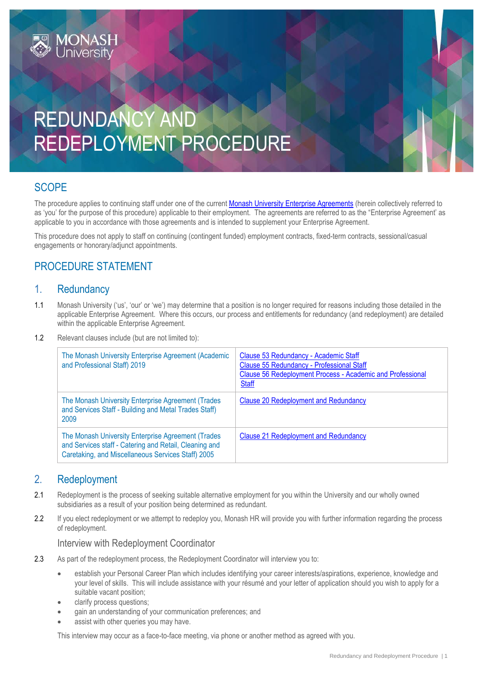

# **SCOPE**

The procedure applies to continuing staff under one of the current [Monash University Enterprise Agreements](https://www.monash.edu/current-enterprise-agreements) (herein collectively referred to as 'you' for the purpose of this procedure) applicable to their employment. The agreements are referred to as the "Enterprise Agreement' as applicable to you in accordance with those agreements and is intended to supplement your Enterprise Agreement.

This procedure does not apply to staff on continuing (contingent funded) employment contracts, fixed-term contracts, sessional/casual engagements or honorary/adjunct appointments.

# PROCEDURE STATEMENT

## 1. Redundancy

- 1.1 Monash University ('us', 'our' or 'we') may determine that a position is no longer required for reasons including those detailed in the applicable Enterprise Agreement. Where this occurs, our process and entitlements for redundancy (and redeployment) are detailed within the applicable Enterprise Agreement.
- 1.2 Relevant clauses include (but are not limited to):

| The Monash University Enterprise Agreement (Academic<br>and Professional Staff) 2019                                                                               | Clause 53 Redundancy - Academic Staff<br>Clause 55 Redundancy - Professional Staff<br>Clause 56 Redeployment Process - Academic and Professional<br><b>Staff</b> |
|--------------------------------------------------------------------------------------------------------------------------------------------------------------------|------------------------------------------------------------------------------------------------------------------------------------------------------------------|
| The Monash University Enterprise Agreement (Trades<br>and Services Staff - Building and Metal Trades Staff)<br>2009                                                | <b>Clause 20 Redeployment and Redundancy</b>                                                                                                                     |
| The Monash University Enterprise Agreement (Trades<br>and Services staff - Catering and Retail, Cleaning and<br>Caretaking, and Miscellaneous Services Staff) 2005 | <b>Clause 21 Redeployment and Redundancy</b>                                                                                                                     |

## 2. Redeployment

- 2.1 Redeployment is the process of seeking suitable alternative employment for you within the University and our wholly owned subsidiaries as a result of your position being determined as redundant.
- 2.2 If you elect redeployment or we attempt to redeploy you, Monash HR will provide you with further information regarding the process of redeployment.

#### Interview with Redeployment Coordinator

- 2.3 As part of the redeployment process, the Redeployment Coordinator will interview you to:
	- establish your Personal Career Plan which includes identifying your career interests/aspirations, experience, knowledge and your level of skills. This will include assistance with your résumé and your letter of application should you wish to apply for a suitable vacant position;
	- clarify process questions;
	- gain an understanding of your communication preferences; and
	- assist with other queries you may have.

This interview may occur as a face-to-face meeting, via phone or another method as agreed with you.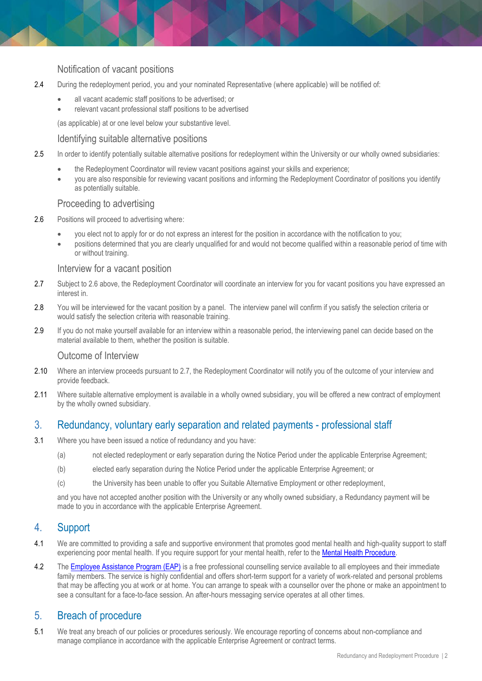## Notification of vacant positions

- 2.4 During the redeployment period, you and your nominated Representative (where applicable) will be notified of:
	- all vacant academic staff positions to be advertised; or
	- relevant vacant professional staff positions to be advertised

(as applicable) at or one level below your substantive level.

#### Identifying suitable alternative positions

- 2.5 In order to identify potentially suitable alternative positions for redeployment within the University or our wholly owned subsidiaries:
	- the Redeployment Coordinator will review vacant positions against your skills and experience;
	- you are also responsible for reviewing vacant positions and informing the Redeployment Coordinator of positions you identify as potentially suitable.

### Proceeding to advertising

- 2.6 Positions will proceed to advertising where:
	- you elect not to apply for or do not express an interest for the position in accordance with the notification to you;
	- positions determined that you are clearly unqualified for and would not become qualified within a reasonable period of time with or without training.

#### Interview for a vacant position

- 2.7 Subject to 2.6 above, the Redeployment Coordinator will coordinate an interview for you for vacant positions you have expressed an interest in.
- 2.8 You will be interviewed for the vacant position by a panel. The interview panel will confirm if you satisfy the selection criteria or would satisfy the selection criteria with reasonable training.
- 2.9 If you do not make yourself available for an interview within a reasonable period, the interviewing panel can decide based on the material available to them, whether the position is suitable.

### Outcome of Interview

- 2.10 Where an interview proceeds pursuant to 2.7, the Redeployment Coordinator will notify you of the outcome of your interview and provide feedback.
- 2.11 Where suitable alternative employment is available in a wholly owned subsidiary, you will be offered a new contract of employment by the wholly owned subsidiary.

## 3. Redundancy, voluntary early separation and related payments - professional staff

- 3.1 Where you have been issued a notice of redundancy and you have:
	- (a) not elected redeployment or early separation during the Notice Period under the applicable Enterprise Agreement;
	- (b) elected early separation during the Notice Period under the applicable Enterprise Agreement; or
	- (c) the University has been unable to offer you Suitable Alternative Employment or other redeployment,

and you have not accepted another position with the University or any wholly owned subsidiary, a Redundancy payment will be made to you in accordance with the applicable Enterprise Agreement.

## 4. Support

- 4.1 We are committed to providing a safe and supportive environment that promotes good mental health and high-quality support to staff experiencing poor mental health. If you require support for your mental health, refer to the [Mental Health Procedure.](https://publicpolicydms.monash.edu/Monash/documents/1942903)
- 4.2 The [Employee Assistance Program \(EAP\)](https://www.monash.edu/__data/assets/pdf_file/0011/797456/Employee-assistance.pdf) is a free professional counselling service available to all employees and their immediate family members. The service is highly confidential and offers short-term support for a variety of work-related and personal problems that may be affecting you at work or at home. You can arrange to speak with a counsellor over the phone or make an appointment to see a consultant for a face-to-face session. An after-hours messaging service operates at all other times.

## 5. Breach of procedure

5.1 We treat any breach of our policies or procedures seriously. We encourage reporting of concerns about non-compliance and manage compliance in accordance with the applicable Enterprise Agreement or contract terms.